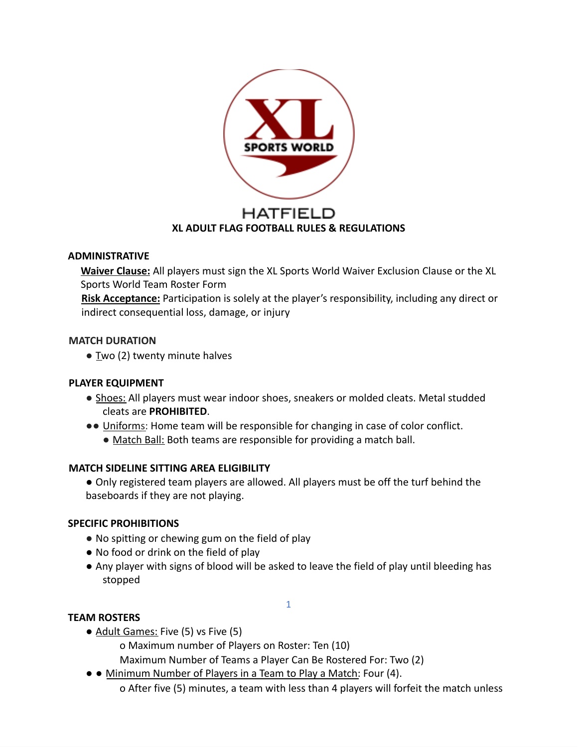

#### **ADMINISTRATIVE**

**Waiver Clause:** All players must sign the XL Sports World Waiver Exclusion Clause or the XL Sports World Team Roster Form

**Risk Acceptance:** Participation is solely at the player's responsibility, including any direct or indirect consequential loss, damage, or injury

#### **MATCH DURATION**

 $\bullet$  Two (2) twenty minute halves

## **PLAYER EQUIPMENT**

- Shoes: All players must wear indoor shoes, sneakers or molded cleats. Metal studded cleats are **PROHIBITED**.
- ●● Uniforms: Home team will be responsible for changing in case of color conflict.
	- Match Ball: Both teams are responsible for providing a match ball.

## **MATCH SIDELINE SITTING AREA ELIGIBILITY**

● Only registered team players are allowed. All players must be off the turf behind the baseboards if they are not playing.

## **SPECIFIC PROHIBITIONS**

- No spitting or chewing gum on the field of play
- No food or drink on the field of play
- Any player with signs of blood will be asked to leave the field of play until bleeding has stopped

1

## **TEAM ROSTERS**

- Adult Games: Five (5) vs Five (5)
	- o Maximum number of Players on Roster: Ten (10)
	- Maximum Number of Teams a Player Can Be Rostered For: Two (2)
- ● Minimum Number of Players in a Team to Play a Match: Four (4). o After five (5) minutes, a team with less than 4 players will forfeit the match unless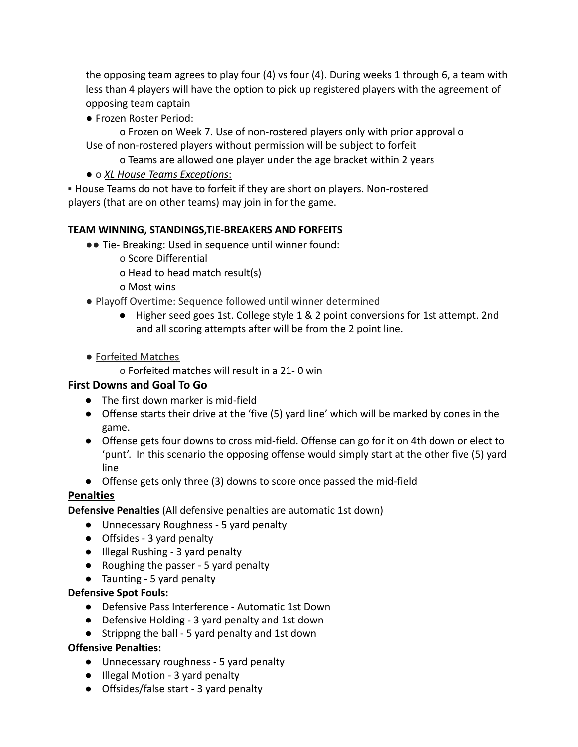the opposing team agrees to play four (4) vs four (4). During weeks 1 through 6, a team with less than 4 players will have the option to pick up registered players with the agreement of opposing team captain

● Frozen Roster Period:

o Frozen on Week 7. Use of non-rostered players only with prior approval o Use of non-rostered players without permission will be subject to forfeit

- o Teams are allowed one player under the age bracket within 2 years
- o *XL House Teams Exceptions*:

▪ House Teams do not have to forfeit if they are short on players. Non-rostered players (that are on other teams) may join in for the game.

## **TEAM WINNING, STANDINGS,TIE-BREAKERS AND FORFEITS**

- ●● Tie- Breaking: Used in sequence until winner found:
	- o Score Differential
	- o Head to head match result(s)
	- o Most wins
- Playoff Overtime: Sequence followed until winner determined
	- Higher seed goes 1st. College style 1 & 2 point conversions for 1st attempt. 2nd and all scoring attempts after will be from the 2 point line.
- Forfeited Matches
	- o Forfeited matches will result in a 21- 0 win

## **First Downs and Goal To Go**

- The first down marker is mid-field
- Offense starts their drive at the 'five (5) yard line' which will be marked by cones in the game.
- Offense gets four downs to cross mid-field. Offense can go for it on 4th down or elect to 'punt'. In this scenario the opposing offense would simply start at the other five (5) yard line
- Offense gets only three (3) downs to score once passed the mid-field

# **Penalties**

**Defensive Penalties** (All defensive penalties are automatic 1st down)

- Unnecessary Roughness 5 yard penalty
- Offsides 3 yard penalty
- Illegal Rushing 3 yard penalty
- Roughing the passer 5 yard penalty
- Taunting 5 yard penalty

## **Defensive Spot Fouls:**

- Defensive Pass Interference Automatic 1st Down
- Defensive Holding 3 yard penalty and 1st down
- Strippng the ball 5 yard penalty and 1st down

## **Offensive Penalties:**

- Unnecessary roughness 5 yard penalty
- Illegal Motion 3 yard penalty
- Offsides/false start 3 yard penalty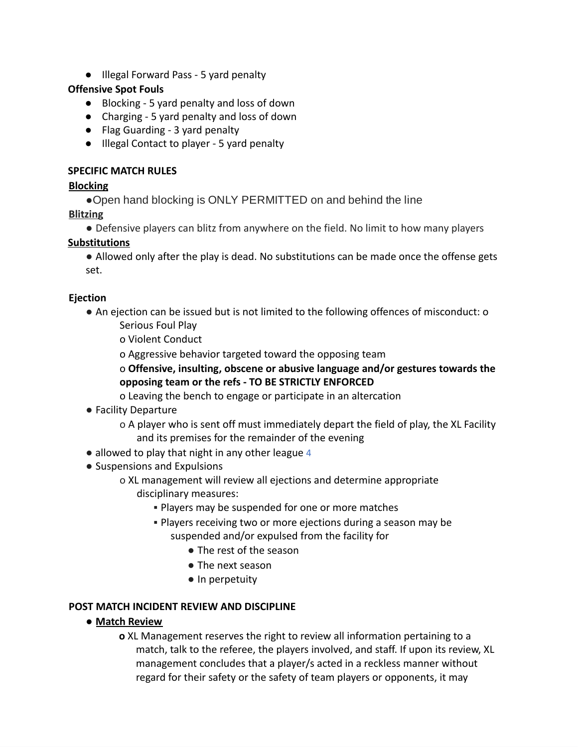● Illegal Forward Pass - 5 yard penalty

## **Offensive Spot Fouls**

- Blocking 5 yard penalty and loss of down
- Charging 5 yard penalty and loss of down
- Flag Guarding 3 yard penalty
- Illegal Contact to player 5 yard penalty

## **SPECIFIC MATCH RULES**

# **Blocking**

●Open hand blocking is ONLY PERMITTED on and behind the line

# **Blitzing**

● Defensive players can blitz from anywhere on the field. No limit to how many players

# **Substitutions**

● Allowed only after the play is dead. No substitutions can be made once the offense gets set.

## **Ejection**

- An ejection can be issued but is not limited to the following offences of misconduct: o
	- Serious Foul Play

o Violent Conduct

o Aggressive behavior targeted toward the opposing team

o **Offensive, insulting, obscene or abusive language and/or gestures towards the opposing team or the refs - TO BE STRICTLY ENFORCED**

o Leaving the bench to engage or participate in an altercation

# ● Facility Departure

o A player who is sent off must immediately depart the field of play, the XL Facility and its premises for the remainder of the evening

- allowed to play that night in any other league 4
- Suspensions and Expulsions
	- o XL management will review all ejections and determine appropriate disciplinary measures:
		- **.** Players may be suspended for one or more matches
		- **Players receiving two or more ejections during a season may be** suspended and/or expulsed from the facility for
			- The rest of the season
			- The next season
			- In perpetuity

# **POST MATCH INCIDENT REVIEW AND DISCIPLINE**

**● Match Review**

**o** XL Management reserves the right to review all information pertaining to a match, talk to the referee, the players involved, and staff. If upon its review, XL management concludes that a player/s acted in a reckless manner without regard for their safety or the safety of team players or opponents, it may